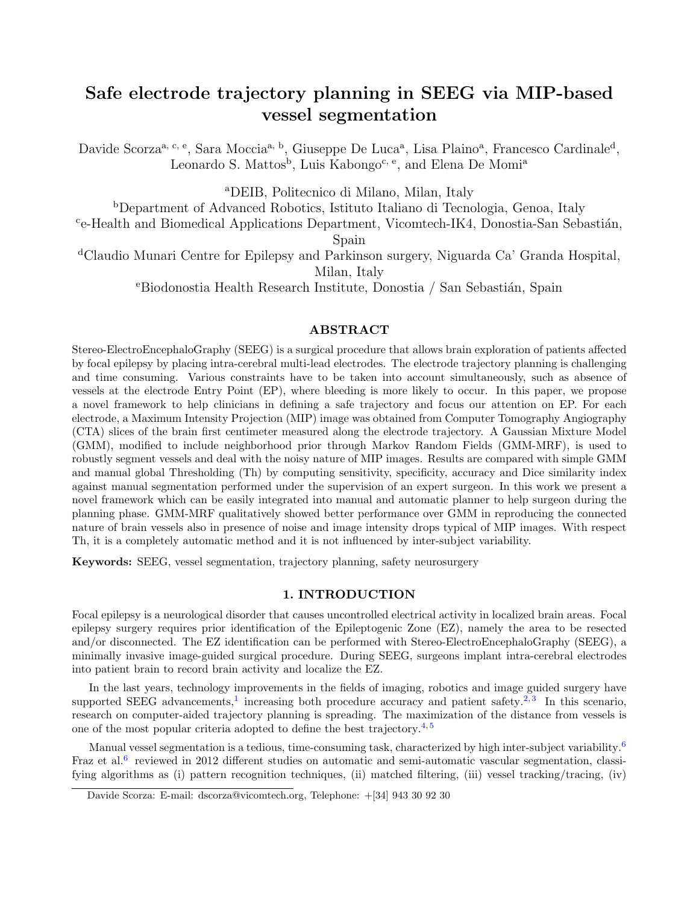# Safe electrode trajectory planning in SEEG via MIP-based vessel segmentation

Davide Scorza<sup>a, c, e</sup>, Sara Moccia<sup>a, b</sup>, Giuseppe De Luca<sup>a</sup>, Lisa Plaino<sup>a</sup>, Francesco Cardinale<sup>d</sup>, Leonardo S. Mattos<sup>b</sup>, Luis Kabongo<sup>c, e</sup>, and Elena De Momi<sup>a</sup>

<sup>a</sup>DEIB, Politecnico di Milano, Milan, Italy

<sup>b</sup>Department of Advanced Robotics, Istituto Italiano di Tecnologia, Genoa, Italy

<sup>c</sup>e-Health and Biomedical Applications Department, Vicomtech-IK4, Donostia-San Sebastián, Spain

<sup>d</sup>Claudio Munari Centre for Epilepsy and Parkinson surgery, Niguarda Ca' Granda Hospital, Milan, Italy

<sup>e</sup>Biodonostia Health Research Institute, Donostia / San Sebastián, Spain

# ABSTRACT

Stereo-ElectroEncephaloGraphy (SEEG) is a surgical procedure that allows brain exploration of patients affected by focal epilepsy by placing intra-cerebral multi-lead electrodes. The electrode trajectory planning is challenging and time consuming. Various constraints have to be taken into account simultaneously, such as absence of vessels at the electrode Entry Point (EP), where bleeding is more likely to occur. In this paper, we propose a novel framework to help clinicians in defining a safe trajectory and focus our attention on EP. For each electrode, a Maximum Intensity Projection (MIP) image was obtained from Computer Tomography Angiography (CTA) slices of the brain first centimeter measured along the electrode trajectory. A Gaussian Mixture Model (GMM), modified to include neighborhood prior through Markov Random Fields (GMM-MRF), is used to robustly segment vessels and deal with the noisy nature of MIP images. Results are compared with simple GMM and manual global Thresholding (Th) by computing sensitivity, specificity, accuracy and Dice similarity index against manual segmentation performed under the supervision of an expert surgeon. In this work we present a novel framework which can be easily integrated into manual and automatic planner to help surgeon during the planning phase. GMM-MRF qualitatively showed better performance over GMM in reproducing the connected nature of brain vessels also in presence of noise and image intensity drops typical of MIP images. With respect Th, it is a completely automatic method and it is not influenced by inter-subject variability.

<span id="page-0-0"></span>Keywords: SEEG, vessel segmentation, trajectory planning, safety neurosurgery

## 1. INTRODUCTION

Focal epilepsy is a neurological disorder that causes uncontrolled electrical activity in localized brain areas. Focal epilepsy surgery requires prior identification of the Epileptogenic Zone (EZ), namely the area to be resected and/or disconnected. The EZ identification can be performed with Stereo-ElectroEncephaloGraphy (SEEG), a minimally invasive image-guided surgical procedure. During SEEG, surgeons implant intra-cerebral electrodes into patient brain to record brain activity and localize the EZ.

In the last years, technology improvements in the fields of imaging, robotics and image guided surgery have supported SEEG advancements,<sup>[1](#page-6-0)</sup> increasing both procedure accuracy and patient safety.<sup>[2,](#page-6-1)[3](#page-6-2)</sup> In this scenario, research on computer-aided trajectory planning is spreading. The maximization of the distance from vessels is one of the most popular criteria adopted to define the best trajectory.<sup>[4,](#page-6-3) [5](#page-6-4)</sup>

Manual vessel segmentation is a tedious, time-consuming task, characterized by high inter-subject variability.<sup>[6](#page-7-0)</sup> Fraz et al.<sup>[6](#page-7-0)</sup> reviewed in 2012 different studies on automatic and semi-automatic vascular segmentation, classifying algorithms as (i) pattern recognition techniques, (ii) matched filtering, (iii) vessel tracking/tracing, (iv)

Davide Scorza: E-mail: dscorza@vicomtech.org, Telephone: +[34] 943 30 92 30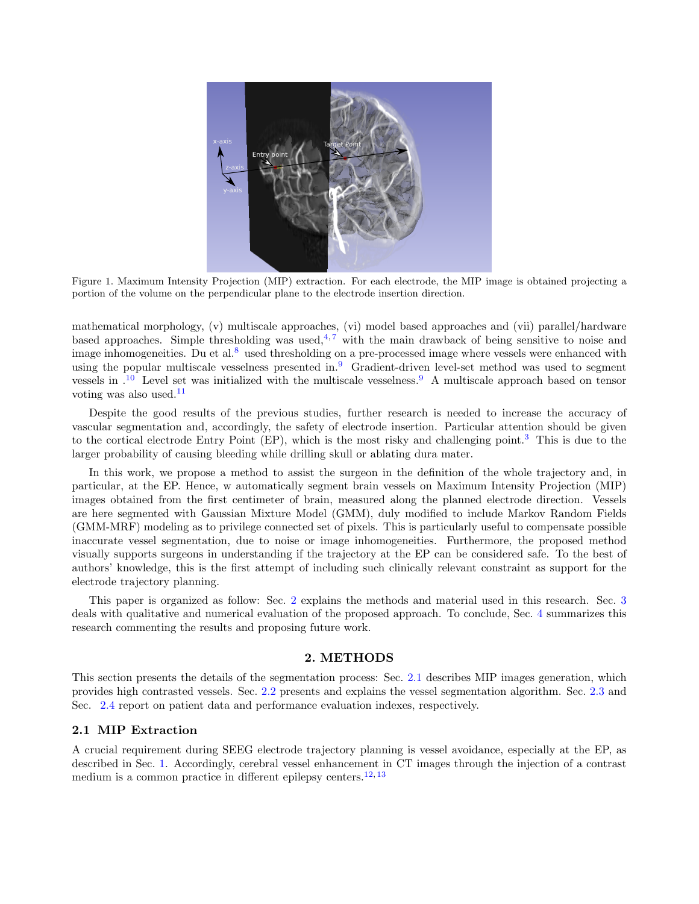

Figure 1. Maximum Intensity Projection (MIP) extraction. For each electrode, the MIP image is obtained projecting a portion of the volume on the perpendicular plane to the electrode insertion direction.

<span id="page-1-2"></span>mathematical morphology, (v) multiscale approaches, (vi) model based approaches and (vii) parallel/hardware based approaches. Simple thresholding was used,  $4,7$  $4,7$  with the main drawback of being sensitive to noise and image inhomogeneities. Du et al.<sup>[8](#page-7-2)</sup> used thresholding on a pre-processed image where vessels were enhanced with using the popular multiscale vesselness presented in.[9](#page-7-3) Gradient-driven level-set method was used to segment vessels in .[10](#page-7-4) Level set was initialized with the multiscale vesselness.[9](#page-7-3) A multiscale approach based on tensor voting was also used. $11$ 

Despite the good results of the previous studies, further research is needed to increase the accuracy of vascular segmentation and, accordingly, the safety of electrode insertion. Particular attention should be given to the cortical electrode Entry Point (EP), which is the most risky and challenging point.[3](#page-6-2) This is due to the larger probability of causing bleeding while drilling skull or ablating dura mater.

In this work, we propose a method to assist the surgeon in the definition of the whole trajectory and, in particular, at the EP. Hence, w automatically segment brain vessels on Maximum Intensity Projection (MIP) images obtained from the first centimeter of brain, measured along the planned electrode direction. Vessels are here segmented with Gaussian Mixture Model (GMM), duly modified to include Markov Random Fields (GMM-MRF) modeling as to privilege connected set of pixels. This is particularly useful to compensate possible inaccurate vessel segmentation, due to noise or image inhomogeneities. Furthermore, the proposed method visually supports surgeons in understanding if the trajectory at the EP can be considered safe. To the best of authors' knowledge, this is the first attempt of including such clinically relevant constraint as support for the electrode trajectory planning.

This paper is organized as follow: Sec. [2](#page-1-0) explains the methods and material used in this research. Sec. [3](#page-5-0) deals with qualitative and numerical evaluation of the proposed approach. To conclude, Sec. [4](#page-6-5) summarizes this research commenting the results and proposing future work.

### 2. METHODS

<span id="page-1-0"></span>This section presents the details of the segmentation process: Sec. [2.1](#page-1-1) describes MIP images generation, which provides high contrasted vessels. Sec. [2.2](#page-2-0) presents and explains the vessel segmentation algorithm. Sec. [2.3](#page-4-0) and Sec. [2.4](#page-4-1) report on patient data and performance evaluation indexes, respectively.

# <span id="page-1-1"></span>2.1 MIP Extraction

A crucial requirement during SEEG electrode trajectory planning is vessel avoidance, especially at the EP, as described in Sec. [1.](#page-0-0) Accordingly, cerebral vessel enhancement in CT images through the injection of a contrast medium is a common practice in different epilepsy centers.<sup>[12,](#page-7-6) [13](#page-7-7)</sup>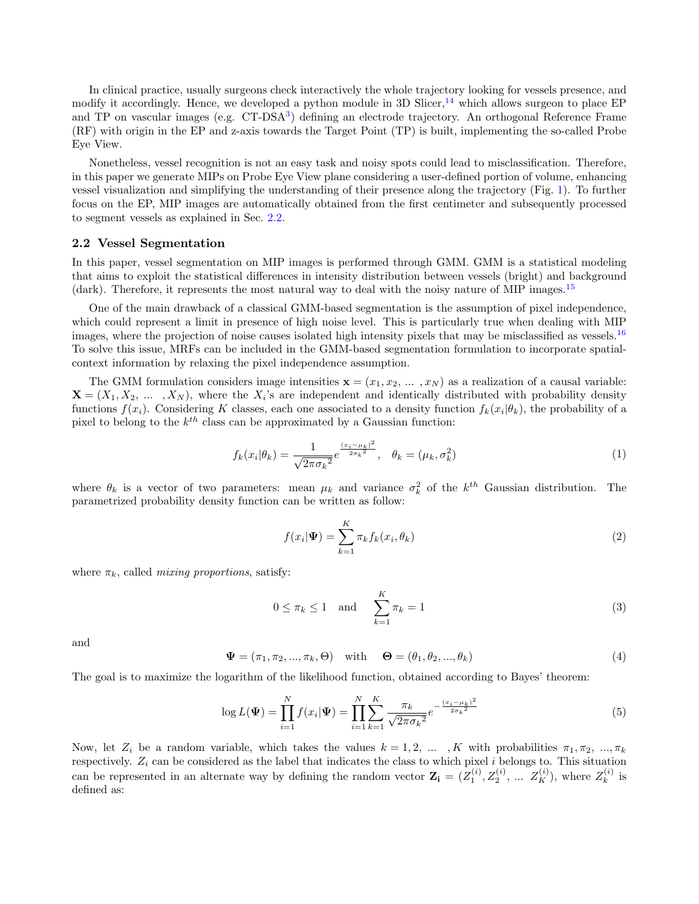In clinical practice, usually surgeons check interactively the whole trajectory looking for vessels presence, and modify it accordingly. Hence, we developed a python module in 3D Slicer,  $^{14}$  $^{14}$  $^{14}$  which allows surgeon to place EP and TP on vascular images (e.g. CT-DSA<sup>[3](#page-6-2)</sup>) defining an electrode trajectory. An orthogonal Reference Frame (RF) with origin in the EP and z-axis towards the Target Point (TP) is built, implementing the so-called Probe Eye View.

Nonetheless, vessel recognition is not an easy task and noisy spots could lead to misclassification. Therefore, in this paper we generate MIPs on Probe Eye View plane considering a user-defined portion of volume, enhancing vessel visualization and simplifying the understanding of their presence along the trajectory (Fig. [1\)](#page-1-2). To further focus on the EP, MIP images are automatically obtained from the first centimeter and subsequently processed to segment vessels as explained in Sec. [2.2.](#page-2-0)

#### <span id="page-2-0"></span>2.2 Vessel Segmentation

In this paper, vessel segmentation on MIP images is performed through GMM. GMM is a statistical modeling that aims to exploit the statistical differences in intensity distribution between vessels (bright) and background (dark). Therefore, it represents the most natural way to deal with the noisy nature of MIP images.<sup>[15](#page-7-9)</sup>

One of the main drawback of a classical GMM-based segmentation is the assumption of pixel independence, which could represent a limit in presence of high noise level. This is particularly true when dealing with MIP images, where the projection of noise causes isolated high intensity pixels that may be misclassified as vessels.<sup>[16](#page-7-10)</sup> To solve this issue, MRFs can be included in the GMM-based segmentation formulation to incorporate spatialcontext information by relaxing the pixel independence assumption.

The GMM formulation considers image intensities  $\mathbf{x} = (x_1, x_2, \dots, x_N)$  as a realization of a causal variable:  $\mathbf{X} = (X_1, X_2, \dots, X_N)$ , where the  $X_i$ 's are independent and identically distributed with probability density functions  $f(x_i)$ . Considering K classes, each one associated to a density function  $f_k(x_i|\theta_k)$ , the probability of a pixel to belong to the  $k^{th}$  class can be approximated by a Gaussian function:

$$
f_k(x_i|\theta_k) = \frac{1}{\sqrt{2\pi\sigma_k^2}} e^{\frac{(x_i - \mu_k)^2}{2\sigma_k^2}}, \quad \theta_k = (\mu_k, \sigma_k^2)
$$
 (1)

where  $\theta_k$  is a vector of two parameters: mean  $\mu_k$  and variance  $\sigma_k^2$  of the  $k^{th}$  Gaussian distribution. The parametrized probability density function can be written as follow:

$$
f(x_i|\Psi) = \sum_{k=1}^{K} \pi_k f_k(x_i, \theta_k)
$$
\n(2)

where  $\pi_k$ , called *mixing proportions*, satisfy:

$$
0 \le \pi_k \le 1 \quad \text{and} \quad \sum_{k=1}^K \pi_k = 1 \tag{3}
$$

and

$$
\mathbf{\Psi} = (\pi_1, \pi_2, ..., \pi_k, \Theta) \quad \text{with} \quad \mathbf{\Theta} = (\theta_1, \theta_2, ..., \theta_k) \tag{4}
$$

The goal is to maximize the logarithm of the likelihood function, obtained according to Bayes' theorem:

$$
\log L(\Psi) = \prod_{i=1}^{N} f(x_i | \Psi) = \prod_{i=1}^{N} \sum_{k=1}^{K} \frac{\pi_k}{\sqrt{2\pi \sigma_k^2}} e^{-\frac{(x_i - \mu_k)^2}{2\sigma_k^2}}
$$
(5)

Now, let  $Z_i$  be a random variable, which takes the values  $k = 1, 2, ..., K$  with probabilities  $\pi_1, \pi_2, ..., \pi_k$ respectively.  $Z_i$  can be considered as the label that indicates the class to which pixel i belongs to. This situation can be represented in an alternate way by defining the random vector  $\mathbf{Z_i} = (Z_1^{(i)}, Z_2^{(i)}, \dots, Z_K^{(i)})$ , where  $Z_k^{(i)}$  $\boldsymbol{k}^{(i)}$  is defined as: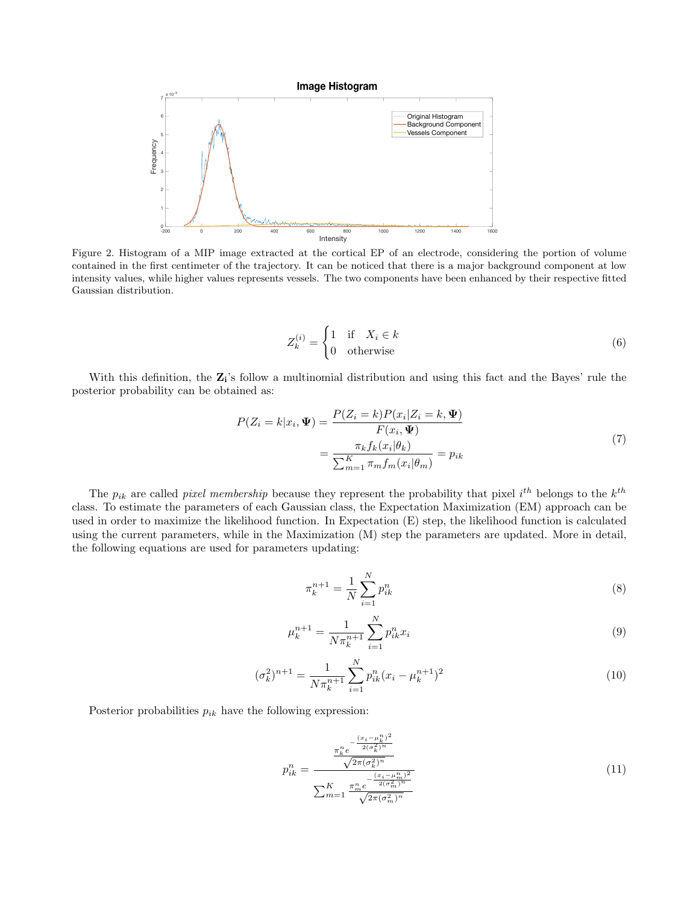

<span id="page-3-0"></span>Figure 2. Histogram of a MIP image extracted at the cortical EP of an electrode, considering the portion of volume contained in the first centimeter of the trajectory. It can be noticed that there is a major background component at low intensity values, while higher values represents vessels. The two components have been enhanced by their respective fitted Gaussian distribution.

$$
Z_k^{(i)} = \begin{cases} 1 & \text{if } X_i \in k \\ 0 & \text{otherwise} \end{cases}
$$
 (6)

With this definition, the  $\mathbf{Z_i}$ 's follow a multinomial distribution and using this fact and the Bayes' rule the posterior probability can be obtained as:

$$
P(Z_i = k | x_i, \Psi) = \frac{P(Z_i = k)P(x_i | Z_i = k, \Psi)}{F(x_i, \Psi)}
$$
  
= 
$$
\frac{\pi_k f_k(x_i | \theta_k)}{\sum_{m=1}^K \pi_m f_m(x_i | \theta_m)} = p_{ik}
$$
 (7)

The  $p_{ik}$  are called *pixel membership* because they represent the probability that pixel i<sup>th</sup> belongs to the  $k^{th}$ class. To estimate the parameters of each Gaussian class, the Expectation Maximization (EM) approach can be used in order to maximize the likelihood function. In Expectation (E) step, the likelihood function is calculated using the current parameters, while in the Maximization (M) step the parameters are updated. More in detail, the following equations are used for parameters updating:

$$
\pi_k^{n+1} = \frac{1}{N} \sum_{i=1}^N p_{ik}^n \tag{8}
$$

$$
\mu_k^{n+1} = \frac{1}{N\pi_k^{n+1}} \sum_{i=1}^N p_{ik}^n x_i \tag{9}
$$

$$
(\sigma_k^2)^{n+1} = \frac{1}{N\pi_k^{n+1}} \sum_{i=1}^N p_{ik}^n (x_i - \mu_k^{n+1})^2
$$
\n(10)

Posterior probabilities  $p_{ik}$  have the following expression:

$$
p_{ik}^{n} = \frac{\frac{\pi_{k}^{n} e^{-\frac{(x_{i} - \mu_{k}^{n})^{2}}{2(\sigma_{k}^{2})^{n}}}}{\sqrt{2\pi(\sigma_{k}^{2})^{n}}}}{\sum_{m=1}^{K} \frac{\pi_{m}^{n} e^{-\frac{(x_{i} - \mu_{m}^{n})^{2}}{2(\sigma_{m}^{2})^{n}}}}{\sqrt{2\pi(\sigma_{m}^{2})^{n}}}}
$$
(11)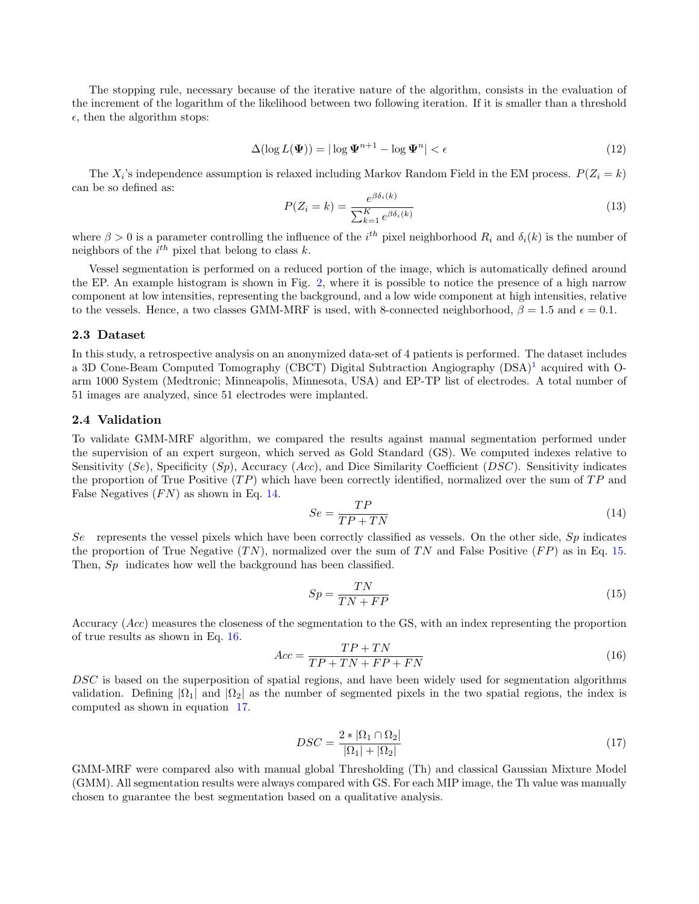The stopping rule, necessary because of the iterative nature of the algorithm, consists in the evaluation of the increment of the logarithm of the likelihood between two following iteration. If it is smaller than a threshold  $\epsilon$ , then the algorithm stops:

$$
\Delta(\log L(\Psi)) = |\log \Psi^{n+1} - \log \Psi^n| < \epsilon \tag{12}
$$

The  $X_i$ 's independence assumption is relaxed including Markov Random Field in the EM process.  $P(Z_i = k)$ can be so defined as:  $\theta$  s (k)

$$
P(Z_i = k) = \frac{e^{\beta \delta_i(k)}}{\sum_{k=1}^{K} e^{\beta \delta_i(k)}}
$$
(13)

where  $\beta > 0$  is a parameter controlling the influence of the i<sup>th</sup> pixel neighborhood  $R_i$  and  $\delta_i(k)$  is the number of neighbors of the  $i^{th}$  pixel that belong to class k.

Vessel segmentation is performed on a reduced portion of the image, which is automatically defined around the EP. An example histogram is shown in Fig. [2,](#page-3-0) where it is possible to notice the presence of a high narrow component at low intensities, representing the background, and a low wide component at high intensities, relative to the vessels. Hence, a two classes GMM-MRF is used, with 8-connected neighborhood,  $\beta = 1.5$  and  $\epsilon = 0.1$ .

#### <span id="page-4-0"></span>2.3 Dataset

In this study, a retrospective analysis on an anonymized data-set of 4 patients is performed. The dataset includes a 3D Cone-Beam Computed Tomography (CBCT) Digital Subtraction Angiography (DSA)<sup>[1](#page-6-0)</sup> acquired with Oarm 1000 System (Medtronic; Minneapolis, Minnesota, USA) and EP-TP list of electrodes. A total number of 51 images are analyzed, since 51 electrodes were implanted.

# <span id="page-4-1"></span>2.4 Validation

To validate GMM-MRF algorithm, we compared the results against manual segmentation performed under the supervision of an expert surgeon, which served as Gold Standard (GS). We computed indexes relative to Sensitivity  $(S_e)$ , Specificity  $(S_p)$ , Accuracy  $(Acc)$ , and Dice Similarity Coefficient  $(DSC)$ . Sensitivity indicates the proportion of True Positive  $(TP)$  which have been correctly identified, normalized over the sum of  $TP$  and False Negatives  $(FN)$  as shown in Eq. [14.](#page-4-2)

<span id="page-4-2"></span>
$$
Se = \frac{TP}{TP + TN} \tag{14}
$$

Se represents the vessel pixels which have been correctly classified as vessels. On the other side,  $Sp$  indicates the proportion of True Negative  $(TN)$ , normalized over the sum of TN and False Positive  $(FP)$  as in Eq. [15.](#page-4-3) Then,  $Sp$  indicates how well the background has been classified.

<span id="page-4-3"></span>
$$
Sp = \frac{TN}{TN + FP}
$$
\n<sup>(15)</sup>

Accuracy (Acc) measures the closeness of the segmentation to the GS, with an index representing the proportion of true results as shown in Eq. [16.](#page-4-4)  $\pi$  P +  $\pi$ <sup> $\pi$ </sup>

<span id="page-4-4"></span>
$$
Acc = \frac{TP + TN}{TP + TN + FP + FN}
$$
\n<sup>(16)</sup>

DSC is based on the superposition of spatial regions, and have been widely used for segmentation algorithms validation. Defining  $|\Omega_1|$  and  $|\Omega_2|$  as the number of segmented pixels in the two spatial regions, the index is computed as shown in equation [17.](#page-4-5)

<span id="page-4-5"></span>
$$
DSC = \frac{2 * |\Omega_1 \cap \Omega_2|}{|\Omega_1| + |\Omega_2|} \tag{17}
$$

GMM-MRF were compared also with manual global Thresholding (Th) and classical Gaussian Mixture Model (GMM). All segmentation results were always compared with GS. For each MIP image, the Th value was manually chosen to guarantee the best segmentation based on a qualitative analysis.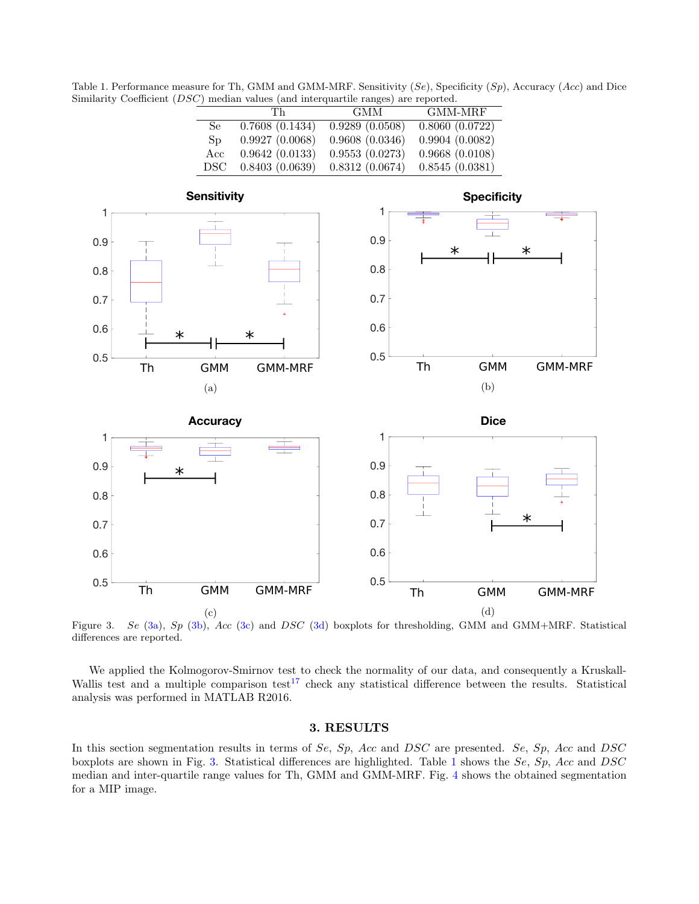<span id="page-5-5"></span>Table 1. Performance measure for Th, GMM and GMM-MRF. Sensitivity  $(Se)$ , Specificity  $(Sp)$ , Accuracy (Acc) and Dice Similarity Coefficient (DSC) median values (and interquartile ranges) are reported.

<span id="page-5-2"></span>

|     | Тh             | GMM.           | GMM-MRF                        |
|-----|----------------|----------------|--------------------------------|
| Se  | 0.7608(0.1434) | 0.9289(0.0508) | $\overline{0.8060}$ $(0.0722)$ |
| Sp  | 0.9927(0.0068) | 0.9608(0.0346) | 0.9904(0.0082)                 |
| Acc | 0.9642(0.0133) | 0.9553(0.0273) | 0.9668(0.0108)                 |
| DSC | 0.8403(0.0639) | 0.8312(0.0674) | 0.8545(0.0381)                 |

<span id="page-5-3"></span><span id="page-5-1"></span>

Figure 3. Se [\(3a\)](#page-5-1), Sp [\(3b\)](#page-5-2), Acc [\(3c\)](#page-5-3) and DSC [\(3d\)](#page-5-4) boxplots for thresholding, GMM and GMM+MRF. Statistical differences are reported.

We applied the Kolmogorov-Smirnov test to check the normality of our data, and consequently a Kruskall-Wallis test and a multiple comparison test<sup>[17](#page-7-11)</sup> check any statistical difference between the results. Statistical analysis was performed in MATLAB R2016.

# <span id="page-5-4"></span>3. RESULTS

<span id="page-5-0"></span>In this section segmentation results in terms of Se, Sp, Acc and DSC are presented. Se, Sp, Acc and DSC boxplots are shown in Fig. [3.](#page-5-5) Statistical differences are highlighted. Table [1](#page-5-5) shows the Se, Sp, Acc and DSC median and inter-quartile range values for Th, GMM and GMM-MRF. Fig. [4](#page-6-6) shows the obtained segmentation for a MIP image.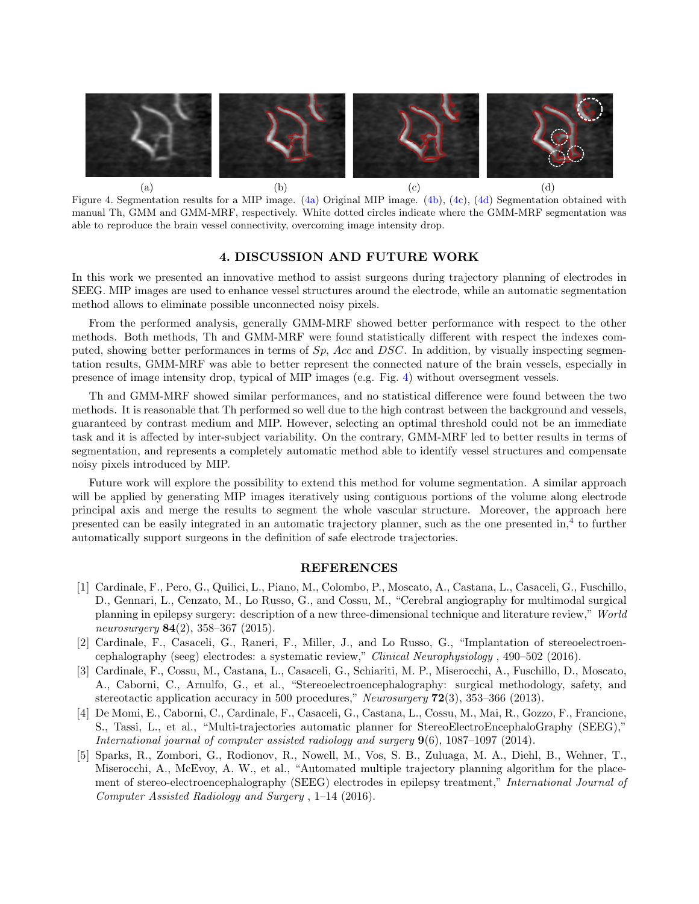<span id="page-6-7"></span>

<span id="page-6-6"></span>Figure 4. Segmentation results for a MIP image. [\(4a\)](#page-6-7) Original MIP image. [\(4b\)](#page-6-8), [\(4c\)](#page-6-9), [\(4d\)](#page-6-10) Segmentation obtained with manual Th, GMM and GMM-MRF, respectively. White dotted circles indicate where the GMM-MRF segmentation was able to reproduce the brain vessel connectivity, overcoming image intensity drop.

## <span id="page-6-10"></span><span id="page-6-9"></span><span id="page-6-8"></span>4. DISCUSSION AND FUTURE WORK

<span id="page-6-5"></span>In this work we presented an innovative method to assist surgeons during trajectory planning of electrodes in SEEG. MIP images are used to enhance vessel structures around the electrode, while an automatic segmentation method allows to eliminate possible unconnected noisy pixels.

From the performed analysis, generally GMM-MRF showed better performance with respect to the other methods. Both methods, Th and GMM-MRF were found statistically different with respect the indexes computed, showing better performances in terms of  $Sp$ , Acc and DSC. In addition, by visually inspecting segmentation results, GMM-MRF was able to better represent the connected nature of the brain vessels, especially in presence of image intensity drop, typical of MIP images (e.g. Fig. [4\)](#page-6-6) without oversegment vessels.

Th and GMM-MRF showed similar performances, and no statistical difference were found between the two methods. It is reasonable that Th performed so well due to the high contrast between the background and vessels, guaranteed by contrast medium and MIP. However, selecting an optimal threshold could not be an immediate task and it is affected by inter-subject variability. On the contrary, GMM-MRF led to better results in terms of segmentation, and represents a completely automatic method able to identify vessel structures and compensate noisy pixels introduced by MIP.

Future work will explore the possibility to extend this method for volume segmentation. A similar approach will be applied by generating MIP images iteratively using contiguous portions of the volume along electrode principal axis and merge the results to segment the whole vascular structure. Moreover, the approach here presented can be easily integrated in an automatic trajectory planner, such as the one presented in,<sup>[4](#page-6-3)</sup> to further automatically support surgeons in the definition of safe electrode trajectories.

## REFERENCES

- <span id="page-6-0"></span>[1] Cardinale, F., Pero, G., Quilici, L., Piano, M., Colombo, P., Moscato, A., Castana, L., Casaceli, G., Fuschillo, D., Gennari, L., Cenzato, M., Lo Russo, G., and Cossu, M., "Cerebral angiography for multimodal surgical planning in epilepsy surgery: description of a new three-dimensional technique and literature review," World neurosurgery  $84(2)$ , 358–367 (2015).
- <span id="page-6-1"></span>[2] Cardinale, F., Casaceli, G., Raneri, F., Miller, J., and Lo Russo, G., "Implantation of stereoelectroencephalography (seeg) electrodes: a systematic review," Clinical Neurophysiology , 490–502 (2016).
- <span id="page-6-2"></span>[3] Cardinale, F., Cossu, M., Castana, L., Casaceli, G., Schiariti, M. P., Miserocchi, A., Fuschillo, D., Moscato, A., Caborni, C., Arnulfo, G., et al., "Stereoelectroencephalography: surgical methodology, safety, and stereotactic application accuracy in 500 procedures," Neurosurgery  $72(3)$ , 353–366 (2013).
- <span id="page-6-3"></span>[4] De Momi, E., Caborni, C., Cardinale, F., Casaceli, G., Castana, L., Cossu, M., Mai, R., Gozzo, F., Francione, S., Tassi, L., et al., "Multi-trajectories automatic planner for StereoElectroEncephaloGraphy (SEEG)," International journal of computer assisted radiology and surgery 9(6), 1087–1097 (2014).
- <span id="page-6-4"></span>[5] Sparks, R., Zombori, G., Rodionov, R., Nowell, M., Vos, S. B., Zuluaga, M. A., Diehl, B., Wehner, T., Miserocchi, A., McEvoy, A. W., et al., "Automated multiple trajectory planning algorithm for the placement of stereo-electroencephalography (SEEG) electrodes in epilepsy treatment," International Journal of Computer Assisted Radiology and Surgery , 1–14 (2016).